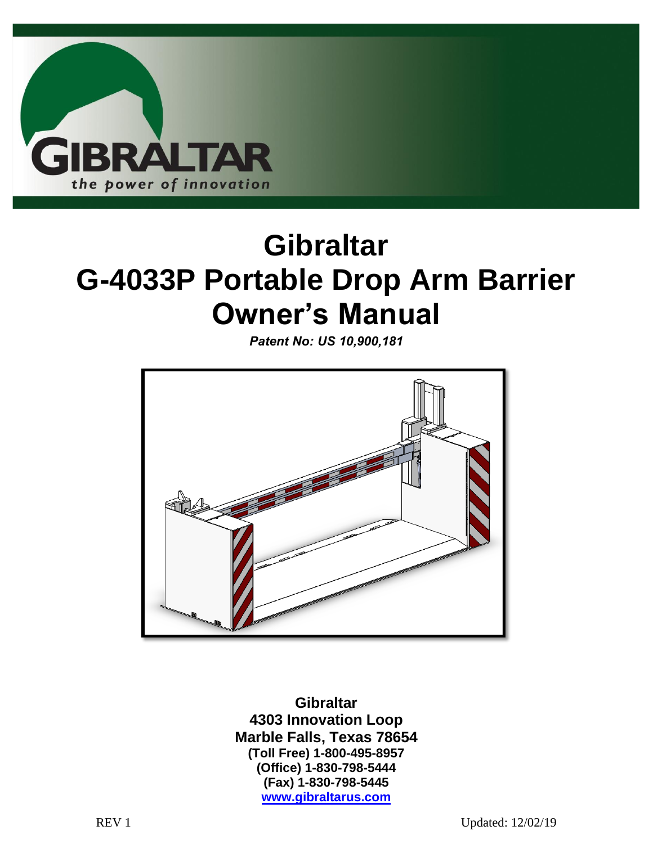

# **Gibraltar G-4033P Portable Drop Arm Barrier Owner's Manual**

*Patent No: US 10,900,181*



**Gibraltar 4303 Innovation Loop Marble Falls, Texas 78654 (Toll Free) 1-800-495-8957 (Office) 1-830-798-5444 (Fax) 1-830-798-5445 www.gibraltarus.com**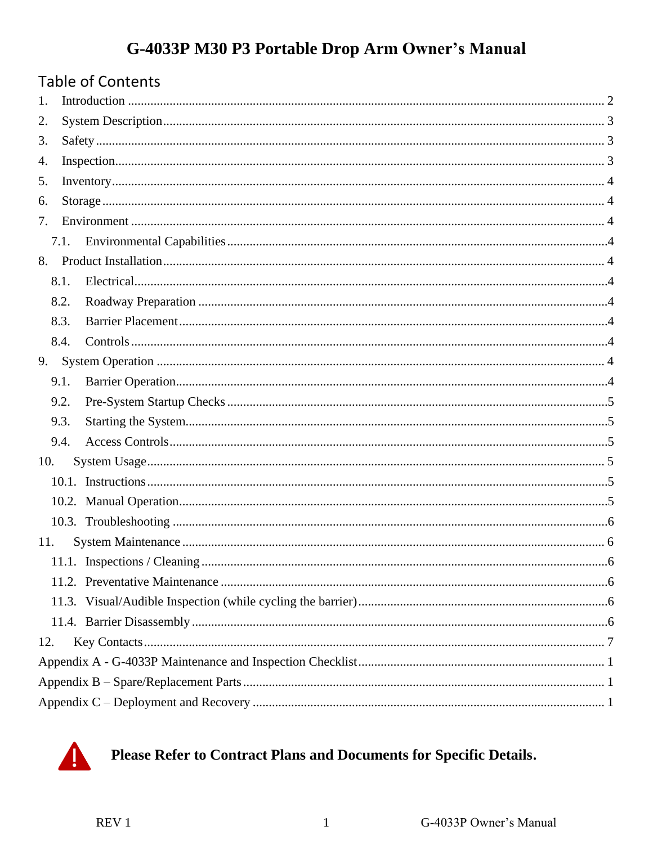# G-4033P M30 P3 Portable Drop Arm Owner's Manual

| <b>Table of Contents</b> |  |  |  |  |  |  |
|--------------------------|--|--|--|--|--|--|
| 1.                       |  |  |  |  |  |  |
| 2.                       |  |  |  |  |  |  |
| 3.                       |  |  |  |  |  |  |
| 4.                       |  |  |  |  |  |  |
|                          |  |  |  |  |  |  |
|                          |  |  |  |  |  |  |
| 7.                       |  |  |  |  |  |  |
| 7.1.                     |  |  |  |  |  |  |
|                          |  |  |  |  |  |  |
| 8.1.                     |  |  |  |  |  |  |
| 8.2.                     |  |  |  |  |  |  |
| 8.3.                     |  |  |  |  |  |  |
| 8.4.                     |  |  |  |  |  |  |
| 9.                       |  |  |  |  |  |  |
| 9.1.                     |  |  |  |  |  |  |
| 9.2.                     |  |  |  |  |  |  |
| 9.3.                     |  |  |  |  |  |  |
| 9.4.                     |  |  |  |  |  |  |
| 10.                      |  |  |  |  |  |  |
|                          |  |  |  |  |  |  |
|                          |  |  |  |  |  |  |
|                          |  |  |  |  |  |  |
| 11.                      |  |  |  |  |  |  |
|                          |  |  |  |  |  |  |
|                          |  |  |  |  |  |  |
|                          |  |  |  |  |  |  |
|                          |  |  |  |  |  |  |
| 12.                      |  |  |  |  |  |  |
|                          |  |  |  |  |  |  |
|                          |  |  |  |  |  |  |
|                          |  |  |  |  |  |  |



Please Refer to Contract Plans and Documents for Specific Details.

 $\mathbf{1}$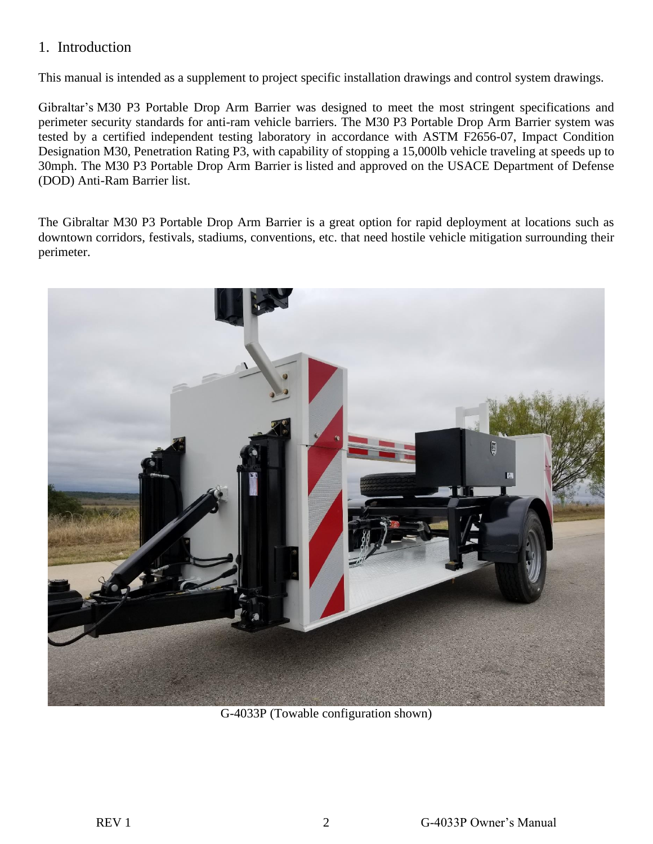#### <span id="page-2-0"></span>1. Introduction

This manual is intended as a supplement to project specific installation drawings and control system drawings.

Gibraltar's M30 P3 Portable Drop Arm Barrier was designed to meet the most stringent specifications and perimeter security standards for anti-ram vehicle barriers. The M30 P3 Portable Drop Arm Barrier system was tested by a certified independent testing laboratory in accordance with ASTM F2656-07, Impact Condition Designation M30, Penetration Rating P3, with capability of stopping a 15,000lb vehicle traveling at speeds up to 30mph. The M30 P3 Portable Drop Arm Barrier is listed and approved on the USACE Department of Defense (DOD) Anti-Ram Barrier list.

The Gibraltar M30 P3 Portable Drop Arm Barrier is a great option for rapid deployment at locations such as downtown corridors, festivals, stadiums, conventions, etc. that need hostile vehicle mitigation surrounding their perimeter.



G-4033P (Towable configuration shown)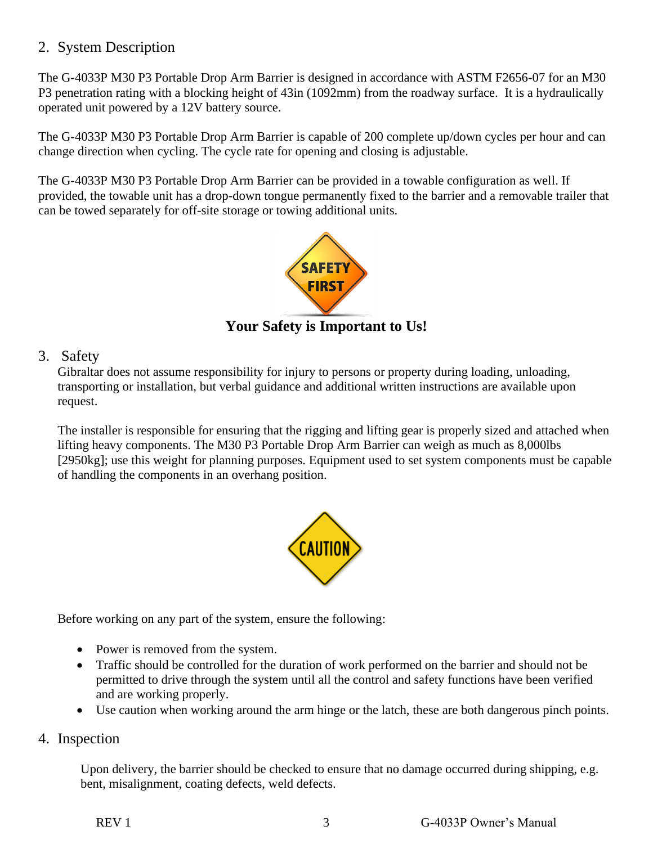#### <span id="page-3-0"></span>2. System Description

The G-4033P M30 P3 Portable Drop Arm Barrier is designed in accordance with ASTM F2656-07 for an M30 P3 penetration rating with a blocking height of 43in (1092mm) from the roadway surface. It is a hydraulically operated unit powered by a 12V battery source.

The G-4033P M30 P3 Portable Drop Arm Barrier is capable of 200 complete up/down cycles per hour and can change direction when cycling. The cycle rate for opening and closing is adjustable.

The G-4033P M30 P3 Portable Drop Arm Barrier can be provided in a towable configuration as well. If provided, the towable unit has a drop-down tongue permanently fixed to the barrier and a removable trailer that can be towed separately for off-site storage or towing additional units.



**Your Safety is Important to Us!**

#### <span id="page-3-1"></span>3. Safety

Gibraltar does not assume responsibility for injury to persons or property during loading, unloading, transporting or installation, but verbal guidance and additional written instructions are available upon request.

The installer is responsible for ensuring that the rigging and lifting gear is properly sized and attached when lifting heavy components. The M30 P3 Portable Drop Arm Barrier can weigh as much as 8,000lbs [2950kg]; use this weight for planning purposes. Equipment used to set system components must be capable of handling the components in an overhang position.



Before working on any part of the system, ensure the following:

- Power is removed from the system.
- Traffic should be controlled for the duration of work performed on the barrier and should not be permitted to drive through the system until all the control and safety functions have been verified and are working properly.
- Use caution when working around the arm hinge or the latch, these are both dangerous pinch points.

#### <span id="page-3-2"></span>4. Inspection

Upon delivery, the barrier should be checked to ensure that no damage occurred during shipping, e.g. bent, misalignment, coating defects, weld defects.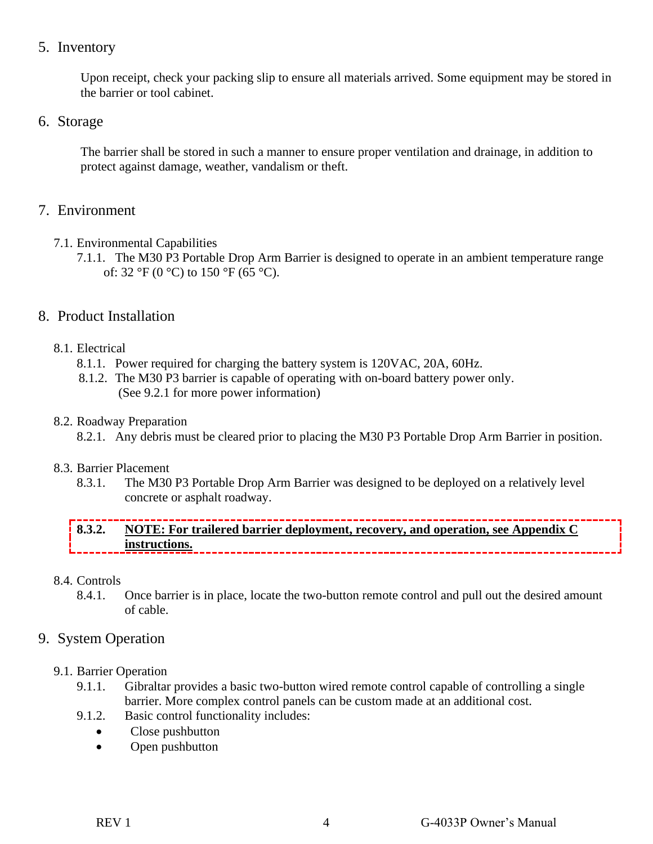#### <span id="page-4-0"></span>5. Inventory

Upon receipt, check your packing slip to ensure all materials arrived. Some equipment may be stored in the barrier or tool cabinet.

#### <span id="page-4-1"></span>6. Storage

The barrier shall be stored in such a manner to ensure proper ventilation and drainage, in addition to protect against damage, weather, vandalism or theft.

#### <span id="page-4-2"></span>7. Environment

- <span id="page-4-3"></span>7.1. Environmental Capabilities
	- 7.1.1. The M30 P3 Portable Drop Arm Barrier is designed to operate in an ambient temperature range of:  $32 \text{ }^{\circ}F$  (0  $\text{ }^{\circ}C$ ) to  $150 \text{ }^{\circ}F$  (65  $\text{ }^{\circ}C$ ).

#### <span id="page-4-4"></span>8. Product Installation

- <span id="page-4-5"></span>8.1. Electrical
	- 8.1.1. Power required for charging the battery system is 120VAC, 20A, 60Hz.
	- 8.1.2. The M30 P3 barrier is capable of operating with on-board battery power only. (See 9.2.1 for more power information)

#### <span id="page-4-6"></span>8.2. Roadway Preparation

8.2.1. Any debris must be cleared prior to placing the M30 P3 Portable Drop Arm Barrier in position.

#### <span id="page-4-7"></span>8.3. Barrier Placement

8.3.1. The M30 P3 Portable Drop Arm Barrier was designed to be deployed on a relatively level concrete or asphalt roadway.

## **8.3.2. NOTE: For trailered barrier deployment, recovery, and operation, see Appendix C instructions.**

- <span id="page-4-8"></span>8.4. Controls
	- 8.4.1. Once barrier is in place, locate the two-button remote control and pull out the desired amount of cable.

### <span id="page-4-9"></span>9. System Operation

- <span id="page-4-10"></span>9.1. Barrier Operation
	- 9.1.1. Gibraltar provides a basic two-button wired remote control capable of controlling a single barrier. More complex control panels can be custom made at an additional cost.
	- 9.1.2. Basic control functionality includes:
		- Close pushbutton
		- Open pushbutton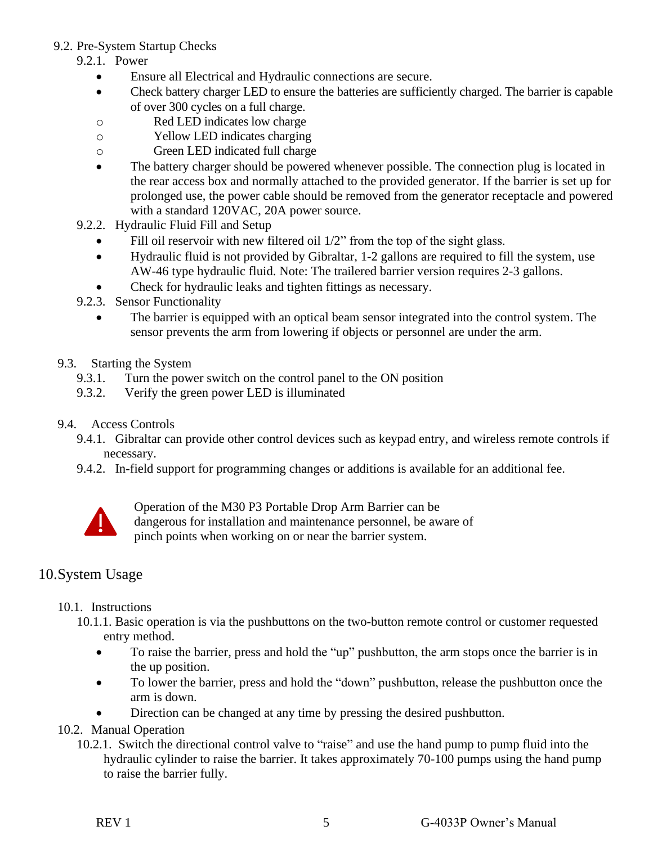#### <span id="page-5-0"></span>9.2. Pre-System Startup Checks

- 9.2.1. Power
	- Ensure all Electrical and Hydraulic connections are secure.
	- Check battery charger LED to ensure the batteries are sufficiently charged. The barrier is capable of over 300 cycles on a full charge.
	- o Red LED indicates low charge
	- o Yellow LED indicates charging
	- o Green LED indicated full charge
	- The battery charger should be powered whenever possible. The connection plug is located in the rear access box and normally attached to the provided generator. If the barrier is set up for prolonged use, the power cable should be removed from the generator receptacle and powered with a standard 120VAC, 20A power source.
- 9.2.2. Hydraulic Fluid Fill and Setup
	- Fill oil reservoir with new filtered oil 1/2" from the top of the sight glass.
	- Hydraulic fluid is not provided by Gibraltar, 1-2 gallons are required to fill the system, use AW-46 type hydraulic fluid. Note: The trailered barrier version requires 2-3 gallons.
	- Check for hydraulic leaks and tighten fittings as necessary.
- 9.2.3. Sensor Functionality
	- The barrier is equipped with an optical beam sensor integrated into the control system. The sensor prevents the arm from lowering if objects or personnel are under the arm.
- <span id="page-5-1"></span>9.3. Starting the System
	- 9.3.1. Turn the power switch on the control panel to the ON position
	- 9.3.2. Verify the green power LED is illuminated
- <span id="page-5-2"></span>9.4. Access Controls
	- 9.4.1. Gibraltar can provide other control devices such as keypad entry, and wireless remote controls if necessary.
	- 9.4.2. In-field support for programming changes or additions is available for an additional fee.



Operation of the M30 P3 Portable Drop Arm Barrier can be dangerous for installation and maintenance personnel, be aware of pinch points when working on or near the barrier system.

### <span id="page-5-3"></span>10.System Usage

#### <span id="page-5-4"></span>10.1. Instructions

- 10.1.1. Basic operation is via the pushbuttons on the two-button remote control or customer requested entry method.
	- To raise the barrier, press and hold the "up" pushbutton, the arm stops once the barrier is in the up position.
	- To lower the barrier, press and hold the "down" pushbutton, release the pushbutton once the arm is down.
	- Direction can be changed at any time by pressing the desired pushbutton.

#### <span id="page-5-5"></span>10.2. Manual Operation

10.2.1. Switch the directional control valve to "raise" and use the hand pump to pump fluid into the hydraulic cylinder to raise the barrier. It takes approximately 70-100 pumps using the hand pump to raise the barrier fully.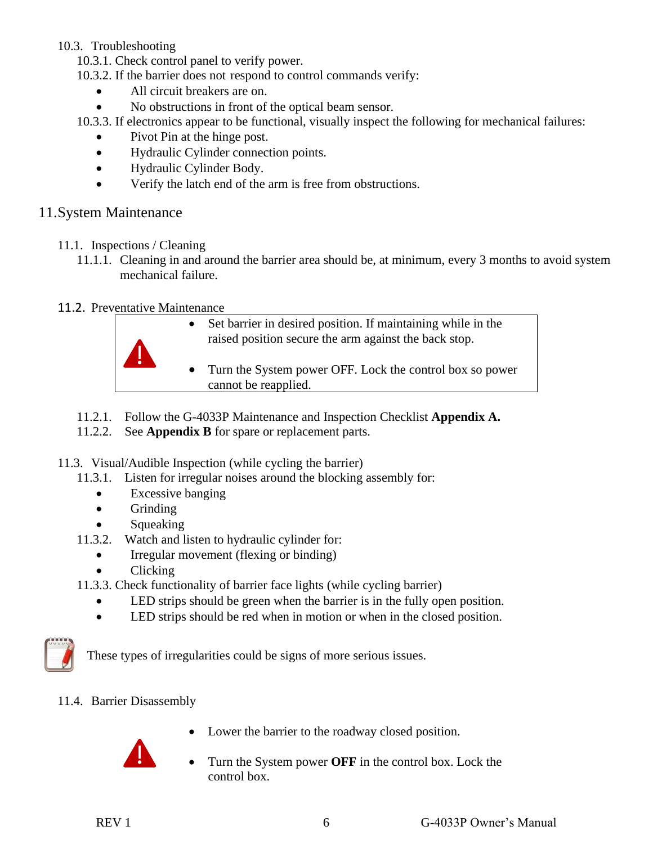#### <span id="page-6-0"></span>10.3. Troubleshooting

- 10.3.1. Check control panel to verify power.
- 10.3.2. If the barrier does not respond to control commands verify:
	- All circuit breakers are on.
	- No obstructions in front of the optical beam sensor.

10.3.3. If electronics appear to be functional, visually inspect the following for mechanical failures:

- Pivot Pin at the hinge post.
- Hydraulic Cylinder connection points.
- Hydraulic Cylinder Body.
- Verify the latch end of the arm is free from obstructions.

#### <span id="page-6-1"></span>11.System Maintenance

- <span id="page-6-2"></span>11.1. Inspections / Cleaning
	- 11.1.1. Cleaning in and around the barrier area should be, at minimum, every 3 months to avoid system mechanical failure.
- <span id="page-6-3"></span>11.2. Preventative Maintenance



- Set barrier in desired position. If maintaining while in the raised position secure the arm against the back stop.
- Turn the System power OFF. Lock the control box so power cannot be reapplied.
- 11.2.1. Follow the G-4033P Maintenance and Inspection Checklist **Appendix A.**
- 11.2.2. See **Appendix B** for spare or replacement parts.
- <span id="page-6-4"></span>11.3. Visual/Audible Inspection (while cycling the barrier)
	- 11.3.1. Listen for irregular noises around the blocking assembly for:
		- Excessive banging
		- Grinding
		- Squeaking
	- 11.3.2. Watch and listen to hydraulic cylinder for:
		- Irregular movement (flexing or binding)
		- Clicking
	- 11.3.3. Check functionality of barrier face lights (while cycling barrier)
		- LED strips should be green when the barrier is in the fully open position.
		- LED strips should be red when in motion or when in the closed position.



These types of irregularities could be signs of more serious issues.

<span id="page-6-5"></span>11.4. Barrier Disassembly



- Lower the barrier to the roadway closed position.
- Turn the System power **OFF** in the control box. Lock the control box.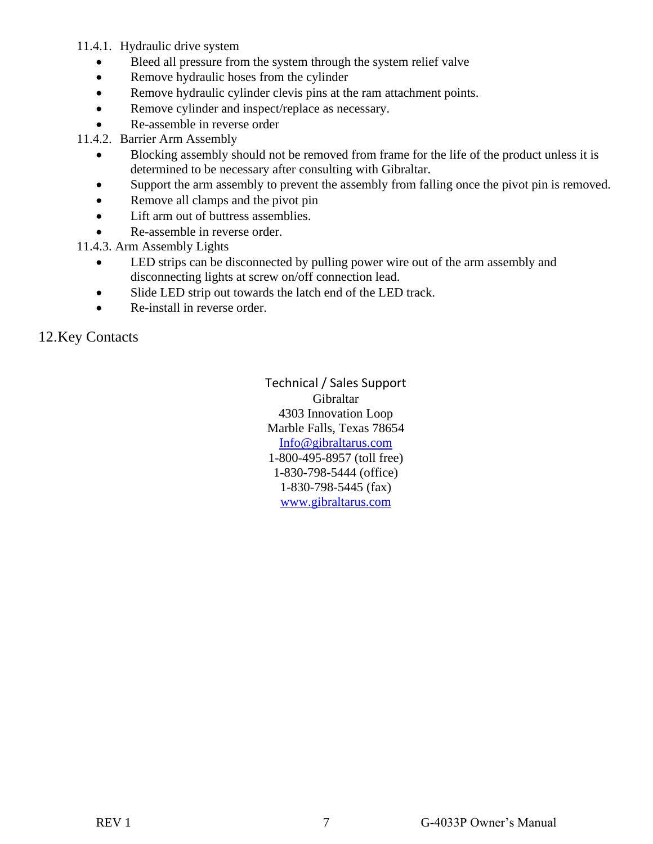11.4.1. Hydraulic drive system

- Bleed all pressure from the system through the system relief valve
- Remove hydraulic hoses from the cylinder
- Remove hydraulic cylinder clevis pins at the ram attachment points.
- Remove cylinder and inspect/replace as necessary.
- Re-assemble in reverse order

11.4.2. Barrier Arm Assembly

- Blocking assembly should not be removed from frame for the life of the product unless it is determined to be necessary after consulting with Gibraltar.
- Support the arm assembly to prevent the assembly from falling once the pivot pin is removed.
- Remove all clamps and the pivot pin
- Lift arm out of buttress assemblies.
- Re-assemble in reverse order.

11.4.3. Arm Assembly Lights

- LED strips can be disconnected by pulling power wire out of the arm assembly and disconnecting lights at screw on/off connection lead.
- Slide LED strip out towards the latch end of the LED track.
- Re-install in reverse order.

<span id="page-7-0"></span>12.Key Contacts

Technical / Sales Support Gibraltar 4303 Innovation Loop Marble Falls, Texas 78654 [Info@gibraltarus.com](mailto:Info@gibraltarus.com) 1-800-495-8957 (toll free) 1-830-798-5444 (office) 1-830-798-5445 (fax) [www.gibraltarus.com](http://www.gibraltarus.com/)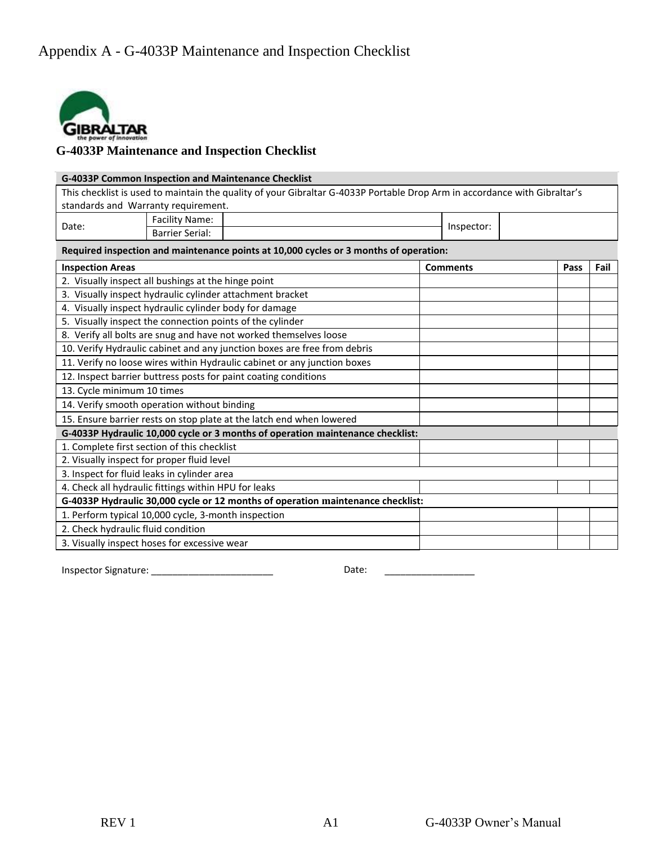<span id="page-8-0"></span>

# **G-4033P Maintenance and Inspection Checklist**

| G-4033P Common Inspection and Maintenance Checklist                                                                       |                        |  |                 |            |      |  |  |  |
|---------------------------------------------------------------------------------------------------------------------------|------------------------|--|-----------------|------------|------|--|--|--|
| This checklist is used to maintain the quality of your Gibraltar G-4033P Portable Drop Arm in accordance with Gibraltar's |                        |  |                 |            |      |  |  |  |
| standards and Warranty requirement.                                                                                       |                        |  |                 |            |      |  |  |  |
| Date:                                                                                                                     | <b>Facility Name:</b>  |  |                 | Inspector: |      |  |  |  |
|                                                                                                                           | <b>Barrier Serial:</b> |  |                 |            |      |  |  |  |
| Required inspection and maintenance points at 10,000 cycles or 3 months of operation:                                     |                        |  |                 |            |      |  |  |  |
| <b>Inspection Areas</b>                                                                                                   |                        |  | <b>Comments</b> | Pass       | Fail |  |  |  |
| 2. Visually inspect all bushings at the hinge point                                                                       |                        |  |                 |            |      |  |  |  |
| 3. Visually inspect hydraulic cylinder attachment bracket                                                                 |                        |  |                 |            |      |  |  |  |
| 4. Visually inspect hydraulic cylinder body for damage                                                                    |                        |  |                 |            |      |  |  |  |
| 5. Visually inspect the connection points of the cylinder                                                                 |                        |  |                 |            |      |  |  |  |
| 8. Verify all bolts are snug and have not worked themselves loose                                                         |                        |  |                 |            |      |  |  |  |
| 10. Verify Hydraulic cabinet and any junction boxes are free from debris                                                  |                        |  |                 |            |      |  |  |  |
| 11. Verify no loose wires within Hydraulic cabinet or any junction boxes                                                  |                        |  |                 |            |      |  |  |  |
| 12. Inspect barrier buttress posts for paint coating conditions                                                           |                        |  |                 |            |      |  |  |  |
| 13. Cycle minimum 10 times                                                                                                |                        |  |                 |            |      |  |  |  |
| 14. Verify smooth operation without binding                                                                               |                        |  |                 |            |      |  |  |  |
| 15. Ensure barrier rests on stop plate at the latch end when lowered                                                      |                        |  |                 |            |      |  |  |  |
| G-4033P Hydraulic 10,000 cycle or 3 months of operation maintenance checklist:                                            |                        |  |                 |            |      |  |  |  |
| 1. Complete first section of this checklist                                                                               |                        |  |                 |            |      |  |  |  |
| 2. Visually inspect for proper fluid level                                                                                |                        |  |                 |            |      |  |  |  |
| 3. Inspect for fluid leaks in cylinder area                                                                               |                        |  |                 |            |      |  |  |  |
| 4. Check all hydraulic fittings within HPU for leaks                                                                      |                        |  |                 |            |      |  |  |  |
| G-4033P Hydraulic 30,000 cycle or 12 months of operation maintenance checklist:                                           |                        |  |                 |            |      |  |  |  |
| 1. Perform typical 10,000 cycle, 3-month inspection                                                                       |                        |  |                 |            |      |  |  |  |
| 2. Check hydraulic fluid condition                                                                                        |                        |  |                 |            |      |  |  |  |
| 3. Visually inspect hoses for excessive wear                                                                              |                        |  |                 |            |      |  |  |  |

Inspector Signature: \_\_\_\_\_\_\_\_\_\_\_\_\_\_\_\_\_\_\_\_\_\_\_ Date: \_\_\_\_\_\_\_\_\_\_\_\_\_\_\_\_\_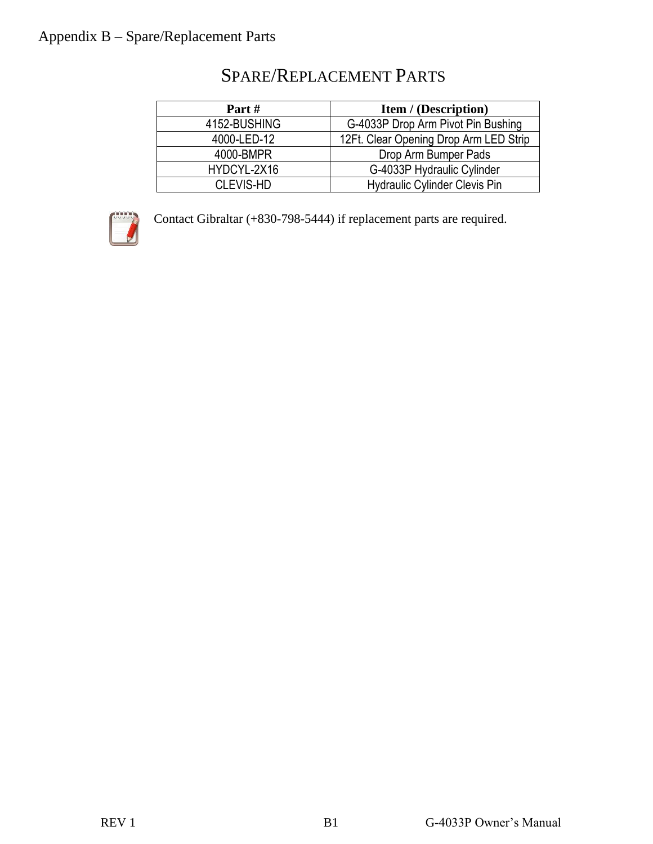<span id="page-9-0"></span>

| Part#        | <b>Item / (Description)</b>            |
|--------------|----------------------------------------|
| 4152-BUSHING | G-4033P Drop Arm Pivot Pin Bushing     |
| 4000-LED-12  | 12Ft. Clear Opening Drop Arm LED Strip |
| 4000-BMPR    | Drop Arm Bumper Pads                   |
| HYDCYL-2X16  | G-4033P Hydraulic Cylinder             |
| CLEVIS-HD    | <b>Hydraulic Cylinder Clevis Pin</b>   |

# SPARE/REPLACEMENT PARTS



Contact Gibraltar (+830-798-5444) if replacement parts are required.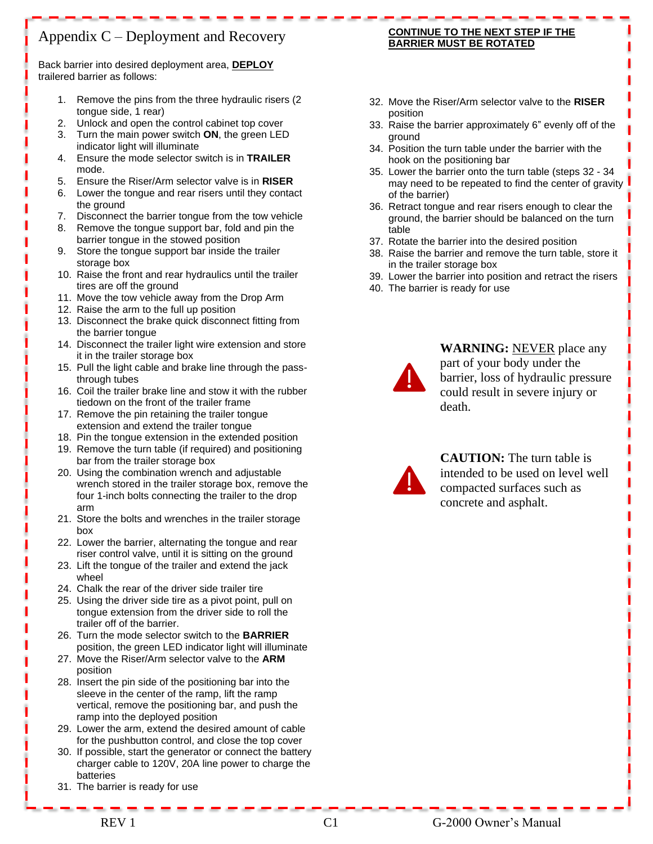## <span id="page-10-0"></span>Appendix C – Deployment and Recovery

Back barrier into desired deployment area, **DEPLOY** trailered barrier as follows:

- 1. Remove the pins from the three hydraulic risers (2 tongue side, 1 rear)
- 2. Unlock and open the control cabinet top cover
- 3. Turn the main power switch **ON**, the green LED indicator light will illuminate
- 4. Ensure the mode selector switch is in **TRAILER** mode.
- 5. Ensure the Riser/Arm selector valve is in **RISER**
- 6. Lower the tongue and rear risers until they contact the ground
- 7. Disconnect the barrier tongue from the tow vehicle
- 8. Remove the tongue support bar, fold and pin the barrier tongue in the stowed position
- 9. Store the tongue support bar inside the trailer storage box
- 10. Raise the front and rear hydraulics until the trailer tires are off the ground
- 11. Move the tow vehicle away from the Drop Arm
- 12. Raise the arm to the full up position
- 13. Disconnect the brake quick disconnect fitting from the barrier tongue
- 14. Disconnect the trailer light wire extension and store it in the trailer storage box
- 15. Pull the light cable and brake line through the passthrough tubes
- 16. Coil the trailer brake line and stow it with the rubber tiedown on the front of the trailer frame
- 17. Remove the pin retaining the trailer tongue extension and extend the trailer tongue
- 18. Pin the tongue extension in the extended position
- 19. Remove the turn table (if required) and positioning bar from the trailer storage box
- 20. Using the combination wrench and adjustable wrench stored in the trailer storage box, remove the four 1-inch bolts connecting the trailer to the drop arm
- 21. Store the bolts and wrenches in the trailer storage box
- 22. Lower the barrier, alternating the tongue and rear riser control valve, until it is sitting on the ground
- 23. Lift the tongue of the trailer and extend the jack wheel
- 24. Chalk the rear of the driver side trailer tire
- 25. Using the driver side tire as a pivot point, pull on tongue extension from the driver side to roll the trailer off of the barrier.
- 26. Turn the mode selector switch to the **BARRIER** position, the green LED indicator light will illuminate
- 27. Move the Riser/Arm selector valve to the **ARM** position
- 28. Insert the pin side of the positioning bar into the sleeve in the center of the ramp, lift the ramp vertical, remove the positioning bar, and push the ramp into the deployed position
- 29. Lower the arm, extend the desired amount of cable for the pushbutton control, and close the top cover
- 30. If possible, start the generator or connect the battery charger cable to 120V, 20A line power to charge the batteries
- 31. The barrier is ready for use

#### **CONTINUE TO THE NEXT STEP IF THE BARRIER MUST BE ROTATED**

- 32. Move the Riser/Arm selector valve to the **RISER**  position
- 33. Raise the barrier approximately 6" evenly off of the ground
- 34. Position the turn table under the barrier with the hook on the positioning bar
- 35. Lower the barrier onto the turn table (steps 32 34 may need to be repeated to find the center of gravity of the barrier)
- 36. Retract tongue and rear risers enough to clear the ground, the barrier should be balanced on the turn table
- 37. Rotate the barrier into the desired position
- 38. Raise the barrier and remove the turn table, store it in the trailer storage box
- 39. Lower the barrier into position and retract the risers
- 40. The barrier is ready for use



**WARNING:** NEVER place any part of your body under the barrier, loss of hydraulic pressure could result in severe injury or death.



**CAUTION:** The turn table is intended to be used on level well compacted surfaces such as concrete and asphalt.